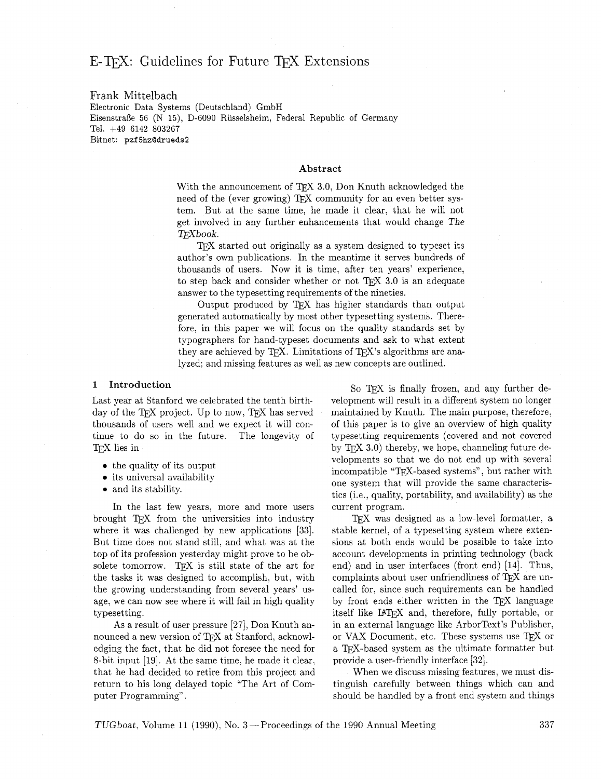# E-T<sub>F</sub>X: Guidelines for Future T<sub>F</sub>X Extensions

## Frank Mittelbach Electronic Data Systems (Deutschland) GmbH Eisenstrafie 56 (N 15), D-6090 Riisselsheim, Federal Republic of Germany Tel. +49 6142 803267 Bitnet: pzf **5hzQdrueds2**

## **Abstract**

With the announcement of  $TFX$  3.0, Don Knuth acknowledged the need of the (ever growing) TFX community for an even better system. But at the same time, he made it clear, that he will not get involved in any further enhancements that would change The TFXbook.

TEX started out originally as a system designed to typeset its author's own publications. In the meantime it serves hundreds of thousands of users. Now it is time, after ten years' experience, to step back and consider whether or not TFX 3.0 is an adequate answer to the typesetting requirements of the nineties.

Output produced by TFX has higher standards than output generated automatically by most other typesetting systems. Therefore, in this paper we will focus on the quality standards set by typographers for hand-typeset documents and ask to what extent they are achieved by TEX. Limitations of TEX's algorithms are analyzed; and missing features as well as new concepts are outlined.

day of the TEX project. Up to now, TEX has served maintained by Knuth. The main purpose, therefore, thousands of users well and we expect it will con-<br>of this paper is to give an overview of high quality tinue to do so in the future. The longevity of typesetting requirements (covered and not covered TEX lies in by TEX 3.0) thereby, we hope, channeling future de-

- the quality of its output
- its universal availability
- and its stability.

In the last few years, more and more users brought TEX from the universities into industry where it was challenged by new applications [33]. But time does not stand still, and what was at the top of its profession yesterday might prove to be obsolete tomorrow. TFX is still state of the art for the tasks it was designed to accomplish, but, with the growing understanding from several years' usage, we can now see where it will fail in high quality typesetting.

As a result of user pressure [27], Don Knuth announced a new version of TFX at Stanford, acknowledging the fact, that he did not foresee the need for 8-bit input [19]. At the same time, he made it clear, that he had decided to retire from this project and return to his long delayed topic "The Art of Computer Programming" .

**1** Introduction **1** So TEX is finally frozen, and any further de-<br>Last year at Stanford we celebrated the tenth birth-<br>velopment will result in a different system no longer velopment will result in a different system no longer of this paper is to give an overview of high quality velopments so that we do not end up with several incompatible "TEX-based systems", but rather with one system that will provide the same characteristics (i.e., quality, portability, and availability) as the current program.

> TFX was designed as a low-level formatter, a stable kernel, of a typesetting system where extensions at both ends would be possible to take into account developments in printing technology (back end) and in user interfaces (front end) [14]. Thus, complaints about user unfriendliness of T<sub>E</sub>X are uncalled for, since such requirements can be handled by front ends either written in the TEX language itself like IAT<sub>F</sub>X and, therefore, fully portable, or in an external language like ArborText's Publisher, or VAX Document, etc. These systems use  $T_F X$  or a TFX-based system as the ultimate formatter but provide a user-friendly interface 1321.

> When we discuss missing features, we must distinguish carefully between things which can and should be handled by a front end system and things

 $TUGboat$ , Volume 11 (1990), No. 3 – Proceedings of the 1990 Annual Meeting  $337$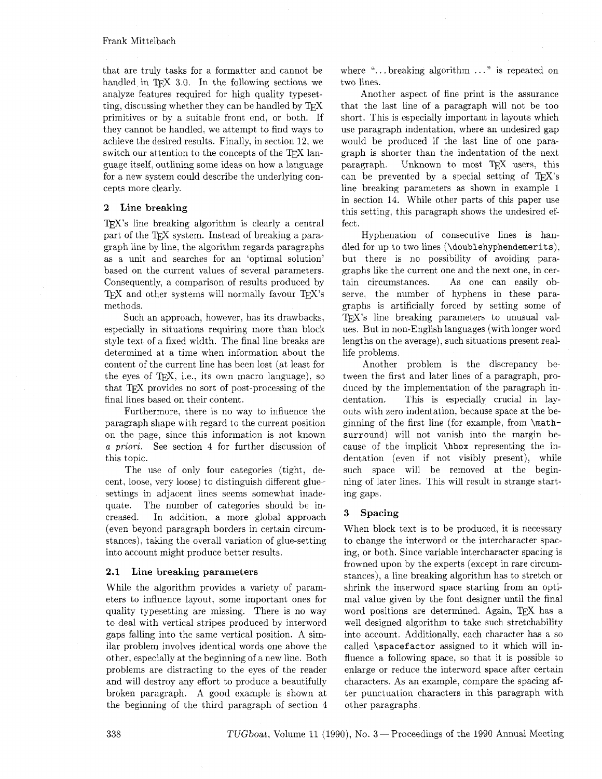## Frank Mittelbach

that are truly tasks for a formatter and cannot be handled in T $\cancel{F}X$  3.0. In the following sections we analyze features required for high quality typesetting, discussing whether they can be handled by primitives or by a suitable front end. or both. If they cannot be handled, we attempt to find ways to achieve the desired results. Finally, in section 12, we switch our attention to the concepts of the TFX language itself, outlining some ideas on how a language for a new system could describe the underlying concepts more clearly.

## **2 Line breaking**

 $Tr X$ 's line breaking algorithm is clearly a central part of the T<sub>F</sub>X system. Instead of breaking a paragraph line by line, the algorithm regards paragraphs as a unit and searches for an 'optimal solution' based on the current values of several parameters. Consequently. a comparison of results produced by TFX and other systems will normally favour  $TFX's$ met hods.

Such an approach, however. has its drawbacks, especially in situations requiring more than block style text of a fixed width. The final line breaks are determined at a time when information about the content of the current line has been lost (at least for the eyes of  $TFX$ , i.e., its own macro language), so that TFX provides no sort of post-processing of the final lines based on their content.

Furthermore, there is no way to influence the paragraph shape with regard to the current position on the page, since this information is not known a *priorz.* See section 4 for further discussion of this topic.

The use of only four categories (tight, decent. loose, very loose) to distinguish different gluesettings in adjacent lines seems somewhat inadequate. The number of categories should be increased. In addition. a more global approach (even beyond paragraph borders in certain circumstances), taking the overall variation of glue-setting into account might produce better results.

## **2.1 Line breaking parameters**

While the algorithm provides a variety of parameters to influence layout, some important ones for quality typesetting are missing. There is no way to deal with vertical stripes produced by interword gaps falling into the same vertical position. A similar problem involves identical words one above the other, especially at the beginning of a new line. Both problems are distracting to the eyes of the reader and will destroy any effort to produce a beautifully broken paragraph. A good example is shown at the beginning of the third paragraph of section 4 where " $\ldots$  breaking algorithm  $\ldots$ " is repeated on two lines.

Another aspect of fine print is the assurance that the last line of a paragraph will not be too short. This is especially important in layouts which use paragraph indentation, where an undesired gap would be produced if the last line of one paragraph is shorter than the indentation of the next<br>paragraph. Unknown to most TEX users, this can be prevented by a special setting of  $T_F X$ 's line breaking parameters as shown in example I in section 14. While other parts of this paper use this setting, this paragraph shows the undesired effect.

Hyphenation of consecutive lines is handled for up to two lines **(\doublehyphendemerits),**  but there is no possibility of avoiding paragraphs like the current one and the next one, in certain circumstances. As one can easily observe. the number of hyphens in these paragraphs is artificially forced by setting some of T<sub>F</sub>X's line breaking parameters to unusual values. But in non-English languages (with longer word lengths on the average). such situations present reallife problems.

Another problem is the discrepancy between the first and later lines of a paragraph, produced by the implementation of the paragraph indentation. This is especially crucial in layouts with zero indentation, because space at the beginning of the first line (for example, from \mathsurround) will not vanish into the margin because of the implicit \hbox representing the indentation (even if not visibly present), while such space will be removed at the beginning of later lines. This will result in strange starting gaps.

## **3 Spacing**

When block text is to be produced, it is necessary to change the interword or the intercharacter spacing, or both. Since variable intercharacter spacing is frowned upon by the experts (except in rare circumstances), a line breaking algorithm has to stretch or shrink the interword space starting from an optimal value given by the font designer until the final word positions are determined. Again, TFX has a well designed algorithm to take such stretchability into account. Additionally, each character has a so called \spacefactor assigned to it which will influence a following space, so that it is possible to enlarge or reduce the interword space after certain characters. As an example, compare the spacing after punctuation characters in this paragraph with other paragraphs.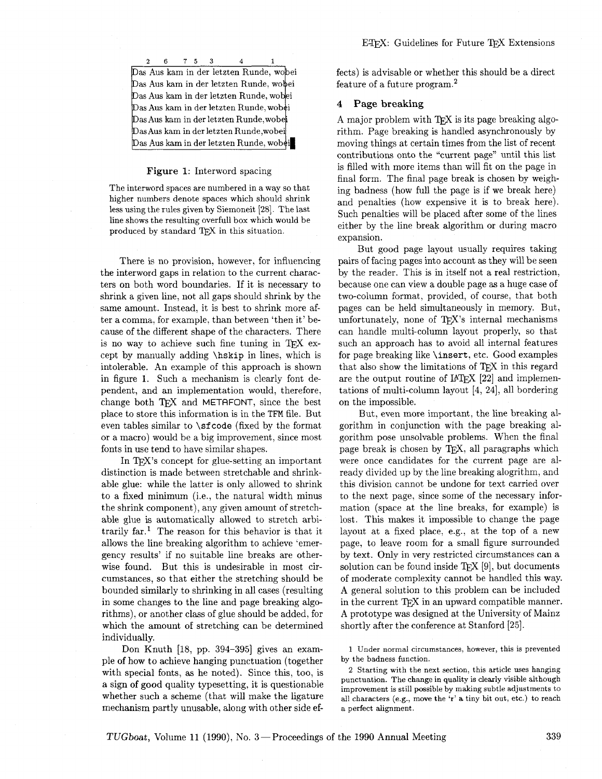<sup>2</sup>6 75 **3 4** 1 Das Aus kam in der letzten Runde, wobei Das Aus kam in der letzten Runde, wobei Das Aus kam in der letzten Runde, wobei Das Aus kam in der letzten Runde, wobei  $\mathrm{Das}$  Aus kam in der letzten Runde, wobe $\mathrm{i}$  $\mathrm{Das}\,\mathrm{Aus}\,\mathrm{kam}$  in der letzten Runde, wobei  $\mathrm{Das}\: \mathrm{Aus}\: \mathrm{kam}\: \mathrm{in}\: \mathrm{det}$ zten  $\mathrm{Run} \mathrm{de}, \mathrm{wob} \mathrm{ei}$ 

## **Figure 1:** Interword spacing

The interword spaces are numbered in a way so that higher numbers denote spaces which should shrink less using the rules given by Siemoneit 1281. The last line shows the resulting overfull box which would be produced by standard T<sub>E</sub>X in this situation.

There is no provision, however, for influencing the interword gaps in relation to the current characters on both word boundaries. If it is necessary to shrink a given line, not all gaps should shrink by the same amount. Instead, it is best to shrink more after a comma, for example, than between 'then it' because of the different shape of the characters. There is no way to achieve such fine tuning in TFX except by manually adding **\hskip** in lines, which is intolerable. An example of this approach is shown in figure 1. Such a mechanism is clearly font dependent, and an implementation would, therefore. change both  $TFX$  and METAFONT, since the best place to store this information is in the **TFM** file. But even tables similar to \sf code (fixed by the format or a macro) would be a big improvement, since most fonts in use tend to have similar shapes.

In T<sub>F</sub>X's concept for glue-setting an important distinction is made between stretchable and shrinkable glue: while the latter is only allowed to shrink to a fixed minimum (i.e., the natural width minus the shrink component), any given amount of stretchable glue is automatically allowed to stretch arbitrarily far.<sup>1</sup> The reason for this behavior is that it allows the line breaking algorithm to achieve 'emergency results' if no suitable line breaks are otherwise found. But this is undesirable in most circumstances, so that either the stretching should be bounded similarly to shrinking in all cases (resulting in some changes to the line and page breaking algorithms), or another class of glue should be added, for which the amount of stretching can be determined individually.

Don Knuth [18, pp. 394-395] gives an example of how to achieve hanging punctuation (together with special fonts, as he noted). Since this, too, is a sign of good quality typesetting, it is questionable whether such a scheme (that will make the ligature mechanism partly unusable, along with other side effects) is advisable or whether this should be a direct feature of a future program.2

## **4 Page breaking**

A major problem with  $T_{F}X$  is its page breaking algorithm. Page breaking is handled asynchronously by moving things at certain times from the list of recent contributions onto the "current page" until this list is filled with more items than will fit on the page in final form. The final page break is chosen by weighing badness (how full the page is if we break here) and penalties (how expensive it is to break here). Such penalties will be placed after some of the lines either by the line break algorithm or during macro expansion.

But good page layout usually requires taking pairs of facing pages into account **as** they will be seen by the reader. This is in itself not a real restriction, because one can view a double page as a huge case of two-column format, provided, of course, that both pages can be held simultaneously in memory. But, unfortunately, none of  $TFX$ 's internal mechanisms can handle multi-column layout properly, so that such an approach has to avoid all internal features for page breaking like \insert, etc. Good examples that also show the limitations of  $T_{F}X$  in this regard are the output routine of  $IATFX$  [22] and implementations of multi-column layout  $[4, 24]$ , all bordering on the impossible.

But, even more important, the line breaking algorithm in conjunction with the page breaking algorithm pose unsolvable problems. When the final page break is chosen by TEX, all paragraphs which were once candidates for the current page are already divided up by the line breaking alogrithm, and this division cannot be undone for text carried over to the next page, since some of the necessary information (space at the line breaks, for example) is lost. This makes it impossible to change the page layout at a fixed place, e.g., at the top of a new page, to leave room for a small figure surrounded by text. Only in very restricted circumstances can a solution can be found inside  $TFX$  [9], but documents of moderate complexity cannot be handled this way. A general solution to this problem can be included in the current TFX in an upward compatible manner. **A** prototype was designed at the University of Mainz shortly after the conference at Stanford [25].

1 Under normal circumstances, however, this is prevented by the badness function.

**2** Starting with the next section, this article uses hanging punctuation. The change in quality is clearly visible although improvement is still possible by making subtle adjustments to all characters (e.g., move the 'r' a tiny bit out, etc.) to reach a perfect alignment.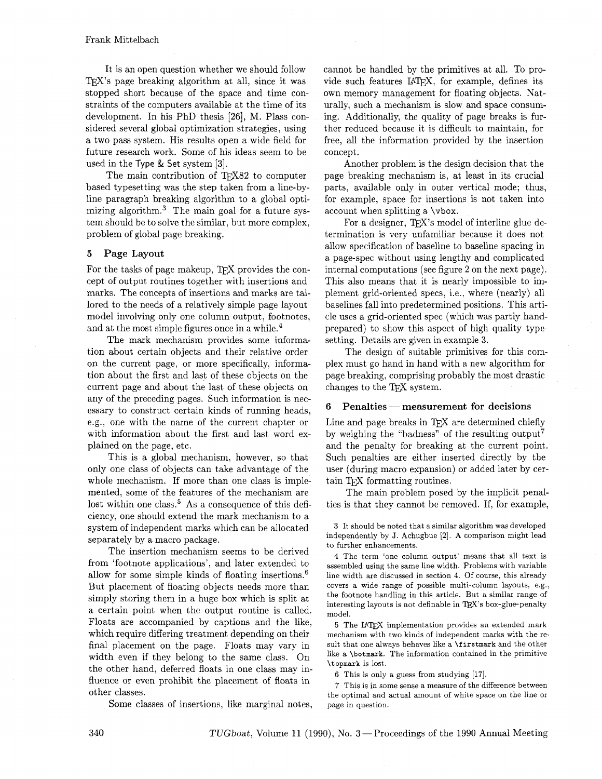It is an open question whether we should follow  $Tr X$ 's page breaking algorithm at all, since it was stopped short because of the space and time constraints of the computers available at the time of its development. In his PhD thesis [26], M. Plass considered several global optimization strategies, using a two pass system. His results open a wide field for future research work. Some of his ideas seem to be used in the Type & Set system [3].

The main contribution of TFX82 to computer based typesetting was the step taken from a line-byline paragraph breaking algorithm to a global optimizing algorithm.<sup>3</sup> The main goal for a future system should be to solve the similar, but more complex, problem of global page breaking.

## 5 Page Layout

For the tasks of page makeup, TFX provides the concept of output routines together with insertions and marks. The concepts of insertions and marks are tailored to the needs of a relatively simple page layout model involving only one column output, footnotes, and at the most simple figures once in a while.<sup>4</sup>

The mark mechanism provides some information about certain objects and their relative order on the current page, or more specifically, information about the first and last of these objects on the current page and about the last of these objects on any of the preceding pages. Such information is necessary to construct certain kinds of running heads, e.g., one with the name of the current chapter or with information about the first and last word explained on the page, etc.

This is a global mechanism, however, so that only one class of objects can take advantage of the whole mechanism. If more than one class is implemented, some of the features of the mechanism are lost within one class.<sup>5</sup> As a consequence of this deficiency, one should extend the mark mechanism to a system of independent marks which can be allocated separately by a macro package.

The insertion mechanism seems to be derived from 'footnote applications', and later extended to allow for some simple kinds of floating insertions.<sup>6</sup> But placement of floating objects needs more than simply storing them in a huge box which is split at a certain point when the output routine is called. Floats are accompanied by captions and the like, which require differing treatment depending on their final placement on the page. Floats may vary in width even if they belong to the same class. On the other hand, deferred floats in one class may influence or even prohibit the placement of floats in other classes.

Some classes of insertions, like marginal notes.

cannot be handled by the primitives at all. To provide such features IATFX, for example, defines its own memory management for floating objects. Naturally, such a mechanism is slow and space consuming. Additionally, the quality of page breaks is further reduced because it is difficult to maintain, for free, all the information provided by the insertion concept.

Another problem is the design decision that the page breaking mechanism is, at least in its crucial parts, available only in outer vertical mode; thus, for example, space for insertions is not taken into account when splitting a \vbox.

For a designer, TEX's model of interline glue determination is very unfamiliar because it does not allow specification of baseline to baseline spacing in a page-spec without using lengthy and complicated internal computations (see figure 2 on the next page). This also means that it is nearly impossible to implement grid-oriented specs, i.e., where (nearly) all baselines fall into predetermined positions. This article uses a grid-oriented spec (which was partly handprepared) to show this aspect of high quality typesetting. Details are given in example **3.** 

The design of suitable primitives for this complex must go hand in hand with a new algorithm for page breaking. comprising probably the most drastic changes to the TEX system.

## **6** Penalties – measurement for decisions

Line and page breaks in TEX are determined chiefly by weighing the "badness" of the resulting output<sup>7</sup> and the penalty for breaking at the current point. Such penalties are either inserted directly by the user (during macro expansion) or added later by certain TFX formatting routines.

The main problem posed by the implicit penalties is that they cannot be removed. If, for example,

4 The term 'one column output' means that all text is assembled using the same line width. Problems with variable line width are discussed in section 4. Of course, this already covers a wide range of possible multi-column layouts, e.g., the footnote handling in this article. But a similar range of interesting layouts is not definable in TEX's box-glue-penalty model.

5 The IATFX implementation provides an extended mark mechanism with two kinds of independent marks with the result that one always behaves like a **\f** irstmark and the other like a \botmark. The information contained in the primitive \topmark is lost.

6 This is only a guess from studying [17].

7 This is in some sense a measure of the difference between the optimal and actual amount of white space on the line or page in question.

**<sup>3</sup>** It should be noted that a similar algorithm was developed independently by J. Achugbue **[2].** A comparison might lead to further enhancements.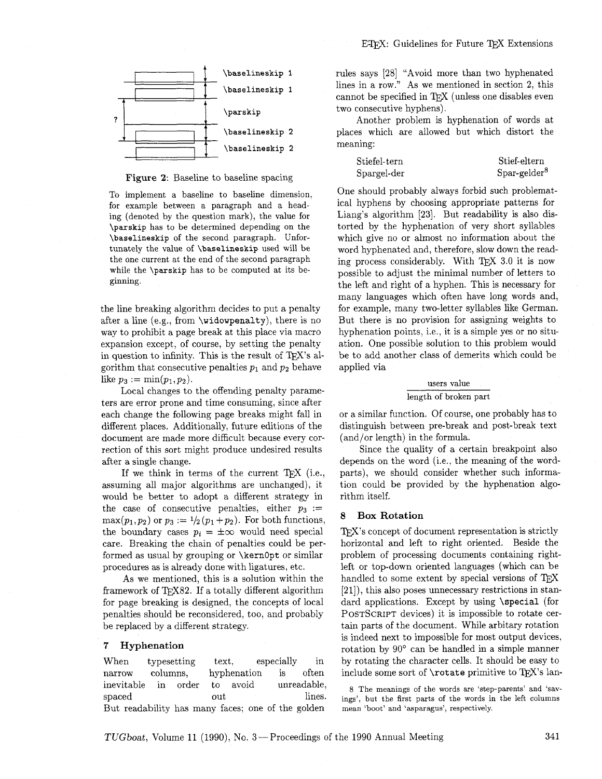



**Figure** 2: Baseline to baseline spacing

To implement a baseline to baseline dimension. for example between a paragraph and a heading (denoted by the question mark), the value for **\parskip** has to be determined depending on the **\baselineskip** of the second paragraph. Unfortunately the value of **\baselineskip** used will be the one current at the end of the second paragraph while the **\parskip** has to be computed at its beginning.

the line breaking algorithm decides to put a penalty after a line (e.g., from \widowpenalty), there is no way to prohibit a page break at this place via macro expansion except, of course, by setting the penalty in question to infinity. This is the result of  $T_F X$ 's algorithm that consecutive penalties  $p_1$  and  $p_2$  behave like  $p_3 := \min(p_1, p_2)$ .

Local changes to the offending penalty parameters are error prone and time consuming, since after each change the following page breaks might fall in different places. Additionally, future editions of the document are made more difficult because every correction of this sort might produce undesired results after a single change.

If we think in terms of the current  $TrX$  (i.e., assuming all major algorithms are unchanged), it would be better to adopt a different strategy in the case of consecutive penalties, either  $p_3 :=$  $\max(p_1, p_2)$  or  $p_3 := \frac{1}{2}(p_1 + p_2)$ . For both functions, the boundary cases  $p_i = \pm \infty$  would need special care. Breaking the chain of penalties could be performed as usual by grouping or **\kernopt** or similar procedures as is already done with ligatures, etc.

As we mentioned, this is a solution within the framework of TEX82. If a totally different algorithm for page breaking is designed, the concepts of local penalties should be reconsidered, too, and probably be replaced by a different strategy.

## **7 Hyphenation**

When typesetting text, especially in narrow columns, hyphenation is often inevitable in order to avoid unreadable, spaced out lines. But readability has many faces; one of the golden

rules says [28] "Avoid more than two hyphenated lines in a row." As we mentioned in section **2,** this cannot be specified in TFX (unless one disables even two consecutive hyphens).

Another problem is hyphenation of words at places which are allowed but which distort the meaning:

| $\operatorname{\rm Stiefel-tern}$ | Stief-eltern   |
|-----------------------------------|----------------|
| ${\rm Spargel\text{-}der}$        | $Spar-gelder8$ |

One should probably always forbid such problematical hyphens by choosing appropriate patterns for Liang's algorithm [23]. But readability is also distorted by the hyphenation of very short syllables which give no or almost no information about the word hyphenated and, therefore, slow down the reading process considerably. With T $\overline{p}X$  3.0 it is now possible to adjust the minimal number of letters to the left and right of a hyphen. This is necessary for many languages which often have long words and, for example, many two-letter syllables like German. But there is no provision for assigning weights to hyphenation points, i.e., it is a simple yes or no situation. One possible solution to this problem would be to add another class of demerits which could be applied via

## users value length of broken part

or a similar function. Of course, one probably has to distinguish between pre-break and post-break text (and/or length) in the formula.

Since the quality of a certain breakpoint also depends on the word (i.e., the meaning of the wordparts), we should consider whether such information could be provided by the hyphenation algorithm itself.

## **8 Box Rotation**

TEX'S concept of document representation is strictly horizontal and left to right oriented. Beside the problem of processing documents containing rightleft or top-down oriented languages (which can be handled to some extent by special versions of TEX [21]), this also poses unnecessary restrictions in standard applications. Except by using \special (for POSTSCRIPT devices) it is impossible to rotate certain parts of the document. While arbitary rotation is indeed next to impossible for most output devices, rotation by 90' can be handled in a simple manner by rotating the character cells. It should be easy to include some sort of  $\cdot$  rotate primitive to TFX's lan-

8 The meanings of the words are 'step-parents' and 'savings', but the first parts of the words in the left columns mean 'boot' and 'asparagus', respectively.

TUGboat, Volume 11 (1990), No. 3-Proceedings of the 1990 Annual Meeting 341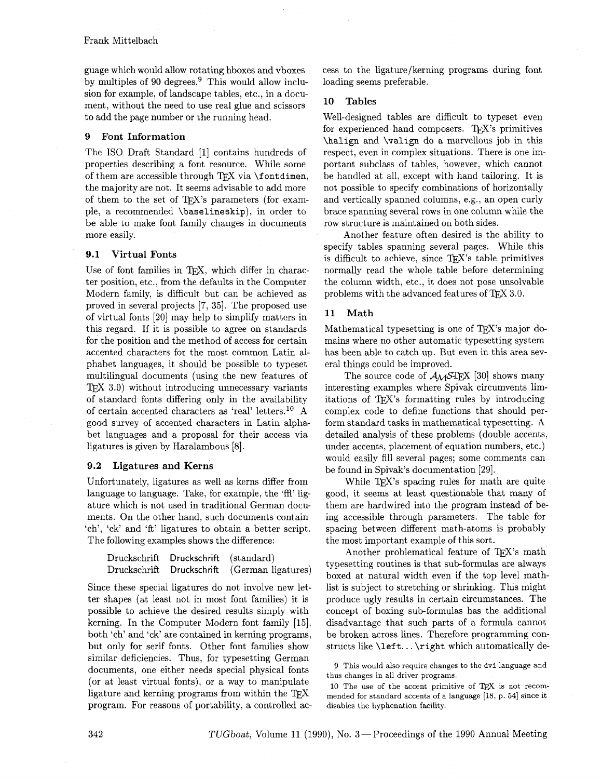guage which would allow rotating hboxes and vboxes by multiples of 90 degrees. $9$  This would allow inclusion for example, of landscape tables, etc., in a document, without the need to use real glue and scissors to add the page number or the running head.

## 9 Font Information

The IS0 Draft Standard [I] contains hundreds of properties describing a font resource. While some of them are accessible through TFX via \fontdimen, the majority are not. It seems advisable to add more of them to the set of TFX's parameters (for example, a recommended \baselineskip), in order to be able to make font family changes in documents more easily.

## 9.1 Virtual Fonts

Use of font families in TFX, which differ in character position, etc., from the defaults in the Computer Modern family, is difficult but can be achieved as proved in several projects [7, **351.** The proposed use of virtual fonts [20] may help to simplify matters in this regard. If it is possible to agree on standards for the position and the method of access for certain accented characters for the most common Latin alphabet languages, it should be possible to typeset multilingual documents (using the new features of  $TFX$  3.0) without introducing unnecessary variants of standard fonts differing only in the availability of certain accented characters as 'real' letters.1° A good survey of accented characters in Latin alphabet languages and a proposal for their access via ligatures is given by Haralambous 181.

## 9.2 Ligatures and Kerns

Unfortunately, ligatures as well as kerns differ from language to language. Take, for example, the 'ffl' ligature which is not used in traditional German documents. On the other hand, such documents contain 'ch', 'ck' and 'ft' ligatures to obtain a better script. The following examples shows the difference:

| Druckschrift Druckschrift (standard) |                                              |
|--------------------------------------|----------------------------------------------|
|                                      | Druckschrift Druckschrift (German ligatures) |

Since these special ligatures do not involve new letter shapes (at least not in most font families) it is possible to achieve the desired results simply with kerning. In the Computer Modern font family [15], both 'ch' and 'ck' are contained in kerning programs, but only for serif fonts. Other font families show similar deficiencies. Thus, for typesetting German documents, one either needs special physical fonts (or at least virtual fonts), or a way to manipulate ligature and kerning programs from within the TFX program. For reasons of portability, a controlled access to the ligature/kerning programs during font loading seems preferable.

## 10 Tables

Well-designed tables are difficult to typeset even for experienced hand composers. TFX's primitives \halip and \valign do a marvellous job in this respect, even in complex situations. There is one important subclass of tables, however, which cannot be handled at all. except with hand tailoring. It is not possible to specify combinations of horizontally and vertically spanned columns, e.g., an open curly brace spanning several rows in one column while the row structure is maintained on both sides.

Another feature often desired is the ability to specify tables spanning several pages. While this is difficult to achieve, since  $TFX$ 's table primitives normally read the whole table before determining the column width, etc., it does not pose unsolvable problems with the advanced features of  $T_{\rm F}X$  3.0.

## 11 Math

Mathematical typesetting is one of T<sub>E</sub>X's major domains where no other automatic typesetting system has been able to catch up. But even in this area several things could be improved.

The source code of  $A_{\mathcal{M}}ST_{\mathcal{E}}X$  [30] shows many interesting examples where Spivak circumvents limitations of T<sub>F</sub>X's formatting rules by introducing complex code to define functions that should perform standard tasks in mathematical typesetting. A detailed analysis of these problems (double accents, under accents, placement of equation numbers, etc.) would easily fill several pages; some comments can be found in Spivak's documentation [29].

While TEX's spacing rules for math are quite good, it seems at least questionable that many of them are hardwired into the program instead of being accessible through parameters. The table for spacing between different math-atoms is probably the most important example of this sort.

Another problematical feature of TEX's math typesetting routines is that sub-formulas are always boxed at natural width even if the top level mathlist is subject to stretching or shrinking. This might produce ugly results in certain circumstances. The concept of boxing sub-formulas has the additional disadvantage that such parts of a formula cannot be broken across lines. Therefore programming constructs like  $\left\{ \cdot \cdot \cdot \right\}$  which automatically de-

9 This would also require changes to the **dvi** language and thus changes in all driver programs.

10 The use of the accent primitive of  $TFX$  is not recommended for standard accents of a language [18, p. **541** since it disables the hyphenation facility.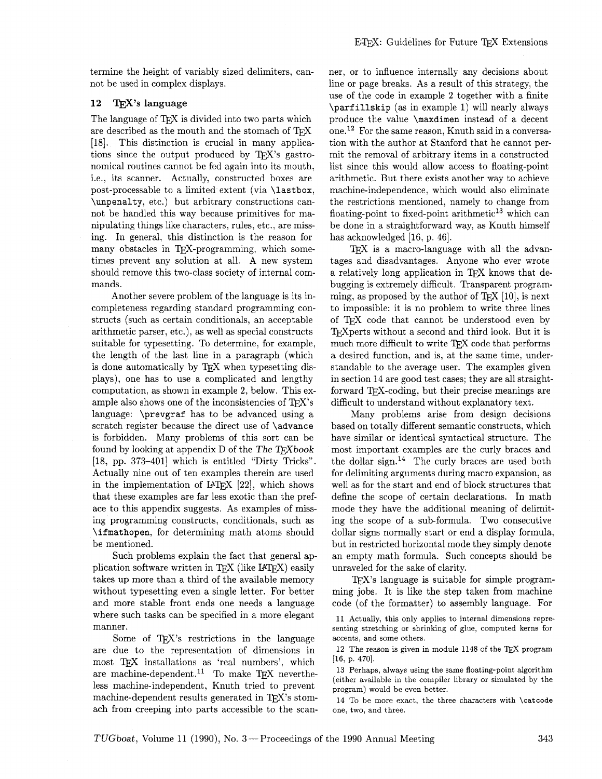termine the height of variably sized delimiters, cannot be used in complex displays.

## 12 T<sub>E</sub>X's language

The language of TFX is divided into two parts which are described as the mouth and the stomach of TFX [18]. This distinction is crucial in many applications since the output produced by  $T_F X$ 's gastronomical routines cannot be fed again into its mouth. i.e., its scanner. Actually, constructed boxes are post-processable to a limited extent (via \lastbox, \unpenalty, etc.) but arbitrary constructions cannot be handled this way because primitives for manipulating things like characters. rules, etc., are missing. In general, this distinction is the reason for many obstacles in TFX-programming, which sometimes prevent any solution at all. A new system should remove this two-class society of internal commands.

Another severe problem of the language is its incompleteness regarding standard programming constructs (such as certain conditionals, an acceptable arithmetic parser, etc.), as well as special constructs suitable for typesetting. To determine, for example, the length of the last line in a paragraph (which is done automatically by TFX when typesetting displays), one has to use a complicated and lengthy computation, as shown in example 2, below. This example also shows one of the inconsistencies of  $T_F X$ 's language: \prevgraf has to be advanced using a scratch register because the direct use of **\advance** is forbidden. Many problems of this sort can be found by looking at appendix  $D$  of the The T $FX$ book [18, pp. 373-401] which is entitled "Dirty Tricks". Actually nine out of ten examples therein are used in the implementation of IAT<sub>F</sub>X  $[22]$ , which shows that these examples are far less exotic than the preface to this appendix suggests. As examples of missing programming constructs, conditionals, such as \ifmathopen, for determining math atoms should be mentioned.

Such problems explain the fact that general application software written in TFX (like  $IATFX$ ) easily takes up more than a third of the available memory without typesetting even a single letter. For better and more stable front ends one needs a language where such tasks can be specified in a more elegant manner.

Some of T $FX$ 's restrictions in the language are due to the representation of dimensions in most TEX installations as 'real numbers', which are machine-dependent.<sup>11</sup> To make TEX nevertheless machine-independent, Knuth tried to prevent machine-dependent results generated in  $T\not\!\!F X$ 's stomach from creeping into parts accessible to the scanner, or to influence internally any decisions about line or page breaks. As a result of this strategy, the use of the code in example 2 together with a finite \parf illskip (as in example I) will nearly always produce the value \maxdimen instead of a decent one.12 For the same reason, Knuth said in a conversation with the author at Stanford that he cannot permit the removal of arbitrary items in a constructed list since this would allow access to floating-point arithmetic. But there exists another way to achieve machine-independence, which would also eliminate the restrictions mentioned, namely to change from floating-point to fixed-point arithmetic<sup>13</sup> which can be done in a straightforward way, as Knuth himself has acknowledged [16, p. 46].

TEX is a macro-language with all the advantages and disadvantages. Anyone who ever wrote<br>a relatively long application in TEX knows that debugging is extremely difficult. Transparent programming, as proposed by the author of TFX  $[10]$ , is next to impossible: it is no problem to write three lines of T<sub>E</sub>X code that cannot be understood even by  $T_{E}X$  perts without a second and third look. But it is much more difficult to write  $T_{E}X$  code that performs a desired function, and is at the same time under TFX perts without a second and third look. But it is a desired function, and is, at the same time, understandable to the average user. The examples given in section 14 are good test cases; they are all straightforward TFX-coding, but their precise meanings are difficult to understand without explanatory text.

Many problems arise from design decisions based on totally different semantic constructs, which have similar or identical syntactical structure. The most important examples are the curly braces and the dollar sign. $14$  The curly braces are used both for delimiting arguments during macro expansion, as well as for the start and end of block structures that define the scope of certain declarations. In math mode they have the additional meaning of delimiting the scope of a sub-formula. Two consecutive dollar signs normally start or end a display formula, but in restricted horizontal mode they simply denote an empty math formula. Such concepts should be unraveled for the sake of clarity.

 $TFX$ 's language is suitable for simple programming jobs. It is like the step taken from machine code (of the formatter) to assembly language. For

12 The reason is given in module 1148 of the TEX program  $[16, p. 470].$ 

13 Perhaps, always using the same floating-point algorithm (either available in the compiler library or simulated by the program) would be even better.

14 To be more exact, the three characters with **\catcode**  one, two, and three.

<sup>11</sup> Actually, this only applies to internal dimensions representing stretching or shrinking of glue, computed kerns for accents, and some others.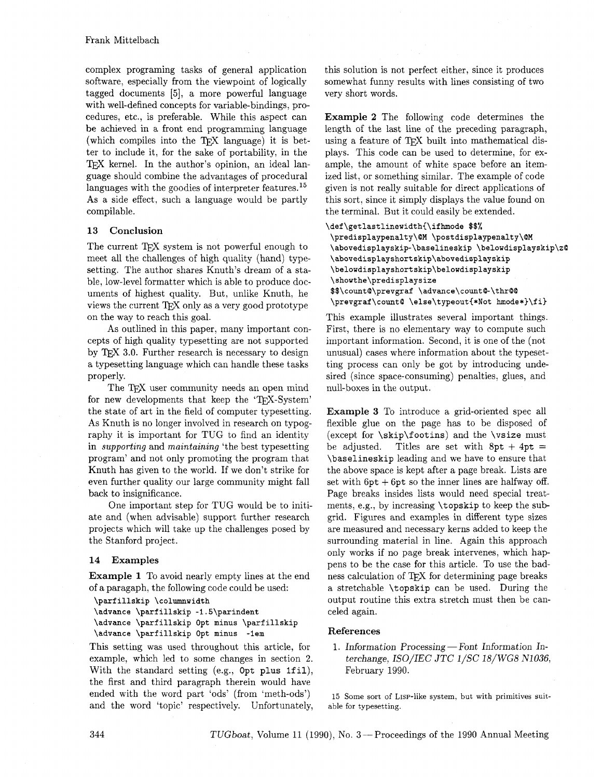complex programing tasks of general application software, especially from the viewpoint of logically tagged documents *[5],* a more powerful language with well-defined concepts for variable-bindings, procedures, etc., is preferable. While this aspect can be achieved in a front end programming language (which compiles into the T<sub>F</sub>X language) it is better to include it, for the sake of portability, in the TFX kernel. In the author's opinion, an ideal language should combine the advantages of procedural languages with the goodies of interpreter features.<sup>15</sup> As a side effect, such a language would be partly compilable.

## **13 Conclusion**

The current T<sub>FX</sub> system is not powerful enough to meet all the challenges of high quality (hand) typesetting. The author shares Knuth's dream of a stable, low-level formatter which is able to produce documents of highest quality. But, unlike Knuth, he views the current T<sub>R</sub>X only as a very good prototype on the way to reach this goal.

As outlined in this paper, many important concepts of high quality typesetting are not supported by TEX 3.0. Further research is necessary to design a typesetting language which can handle these tasks properly.

The TFX user community needs an open mind for new developments that keep the 'TFX-System' the state of art in the field of computer typesetting. As Knuth is no longer involved in research on typography it is important for TUG to find an identity in *supporting* and *maintaining* 'the best typesetting program' and not only promoting the program that Knuth has given to the world. If we don't strike for even further quality our large community might fall back to insignificance.

One important step for TUG would be to initiate and (when advisable) support further research projects which will take up the challenges posed by the Stanford project.

## **14 Examples**

**Example 1** To avoid nearly empty lines at the end of a paragaph, the following code could be used:

**\parfillskip \columnwidth \advance \parfillskip -1.5\parindent \advance \parfillskip Opt minus \parfillskip \advance \parfillskip Opt minus -1em** 

This setting was used throughout this article, for example, which led to some changes in section **2.**  With the standard setting (e.g., Opt plus 1fil), the first and third paragraph therein would have ended with the word part 'ods' (from 'meth-ods') and the word 'topic' respectively. Unfortunately, this solution is not perfect either, since it produces somewhat funny results with lines consisting of two very short words.

**Example 2** The following code determines the length of the last line of the preceding paragraph, using a feature of TpX built into mathematical displays. This code can be used to determine, for example, the amount of white space before an itemized list, or something similar. The example of code given is not really suitable for direct applications of this sort, since it simply displays the value found on the terminal. But it could easily be extended.

```
\def\getlastlinewidth{\ifhmode $$%
\predisplaypenalty\@M \postdisplaypenalty\@M
 \abovedisplayskip-\baselineskip \belowdisplayskip\z@
 \abovedisplayshortskip\abovedisplayskip
 \belowdisplayshortskip\belowdisplayskip
 \showthe\predisplaysize
 $$\count@\prevgraf \advance\count@-\thr@@
 \prevgraf\count@ \else\typeout{*Not hmode*}\fi}
```
This example illustrates several important things. First, there is no elementary way to compute such important information. Second, it is one of the (not unusual) cases where information about the typesetting process can only be got by introducing undesired (since space-consuming) penalties, glues, and null-boxes in the output.

**Example 3** To introduce a grid-oriented spec all flexible glue on the page has to be disposed of (except for \skip\footins) and the \vsize must be adjusted. Titles are set with  $8pt + 4pt =$ \baselineskip leading and we have to ensure that the above space is kept after a page break. Lists are set with  $6pt + 6pt$  so the inner lines are halfway off. Page breaks insides lists would need special treatments, e.g., by increasing \topskip to keep the subgrid. Figures and examples in different type sizes are measured and necessary kerns added to keep the surrounding material in line. Again this approach only works if no page break intervenes, which happens to be the case for this article. To use the badness calculation of TFX for determining page breaks a stretchable \topskip can be used. During the output routine this extra stretch must then be canceled again.

## **References**

1. Information Processing – Font Information Interchange, *ISO/IEC* JTC *1/SC 18/WG8 NlO36,*  February 1990.

15 Some sort of LISP-like system, but with primitives suitable for typesetting.